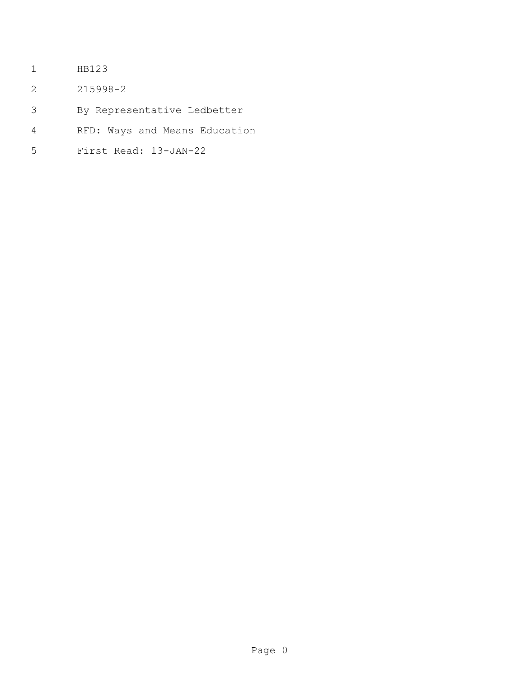- HB123
- 215998-2
- By Representative Ledbetter
- RFD: Ways and Means Education
- First Read: 13-JAN-22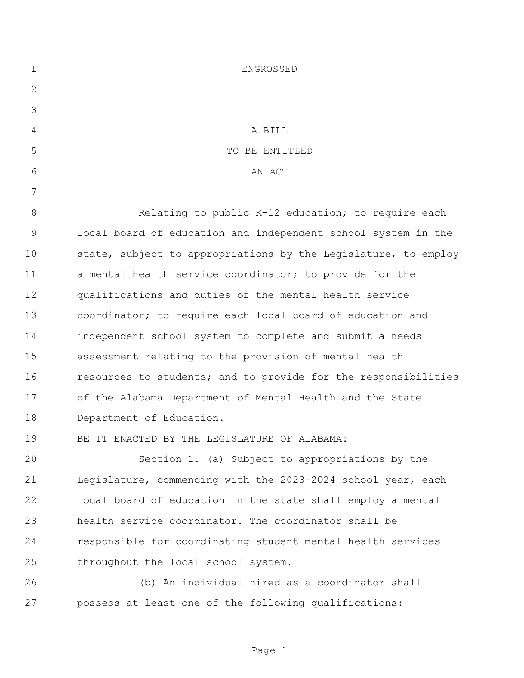| $\mathbf 1$ | ENGROSSED                                                      |
|-------------|----------------------------------------------------------------|
| 2           |                                                                |
| 3           |                                                                |
| 4           | A BILL                                                         |
| 5           | TO BE ENTITLED                                                 |
| 6           | AN ACT                                                         |
| 7           |                                                                |
| $8\,$       | Relating to public K-12 education; to require each             |
| $\mathsf 9$ | local board of education and independent school system in the  |
| 10          | state, subject to appropriations by the Legislature, to employ |
| 11          | a mental health service coordinator; to provide for the        |
| 12          | qualifications and duties of the mental health service         |
| 13          | coordinator; to require each local board of education and      |
| 14          | independent school system to complete and submit a needs       |
| 15          | assessment relating to the provision of mental health          |
| 16          | resources to students; and to provide for the responsibilities |
| 17          | of the Alabama Department of Mental Health and the State       |
| 18          | Department of Education.                                       |
| 19          | BE IT ENACTED BY THE LEGISLATURE OF ALABAMA:                   |
| 20          | Section 1. (a) Subject to appropriations by the                |
| 21          | Legislature, commencing with the 2023-2024 school year, each   |
| 22          | local board of education in the state shall employ a mental    |
| 23          | health service coordinator. The coordinator shall be           |
| 24          | responsible for coordinating student mental health services    |
| 25          | throughout the local school system.                            |
| 26          | (b) An individual hired as a coordinator shall                 |
| 27          | possess at least one of the following qualifications:          |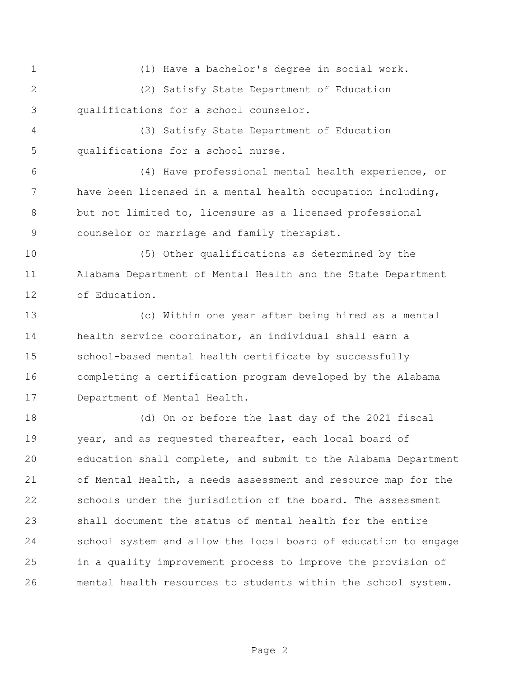(1) Have a bachelor's degree in social work.

 (2) Satisfy State Department of Education qualifications for a school counselor.

 (3) Satisfy State Department of Education qualifications for a school nurse.

 (4) Have professional mental health experience, or have been licensed in a mental health occupation including, but not limited to, licensure as a licensed professional counselor or marriage and family therapist.

 (5) Other qualifications as determined by the Alabama Department of Mental Health and the State Department of Education.

 (c) Within one year after being hired as a mental health service coordinator, an individual shall earn a school-based mental health certificate by successfully completing a certification program developed by the Alabama Department of Mental Health.

 (d) On or before the last day of the 2021 fiscal year, and as requested thereafter, each local board of education shall complete, and submit to the Alabama Department of Mental Health, a needs assessment and resource map for the schools under the jurisdiction of the board. The assessment shall document the status of mental health for the entire school system and allow the local board of education to engage in a quality improvement process to improve the provision of mental health resources to students within the school system.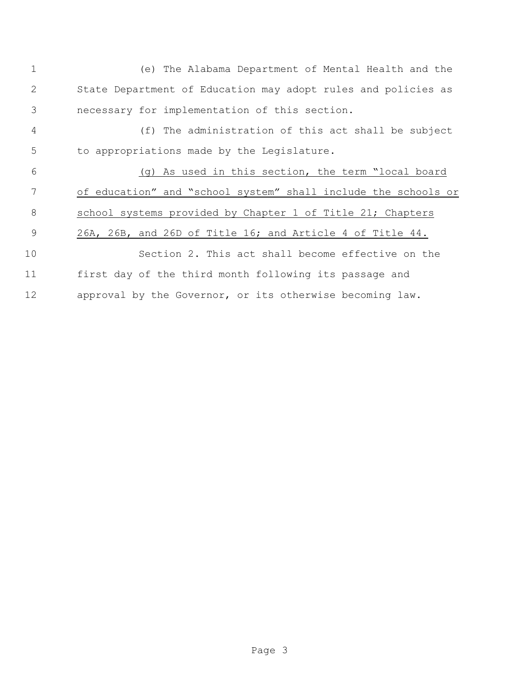| $\mathbf 1$ | (e) The Alabama Department of Mental Health and the            |
|-------------|----------------------------------------------------------------|
| 2           | State Department of Education may adopt rules and policies as  |
| 3           | necessary for implementation of this section.                  |
| 4           | (f) The administration of this act shall be subject            |
| 5           | to appropriations made by the Legislature.                     |
| 6           | (q) As used in this section, the term "local board             |
| 7           | of education" and "school system" shall include the schools or |
| 8           | school systems provided by Chapter 1 of Title 21; Chapters     |
| 9           | 26A, 26B, and 26D of Title 16; and Article 4 of Title 44.      |
| 10          | Section 2. This act shall become effective on the              |
| 11          | first day of the third month following its passage and         |
| 12          | approval by the Governor, or its otherwise becoming law.       |